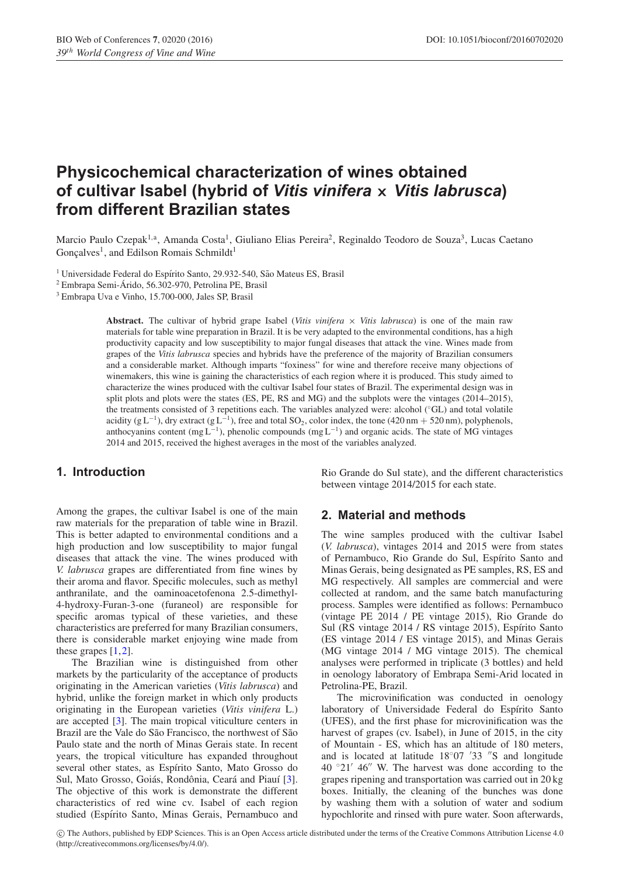# **Physicochemical characterization of wines obtained of cultivar Isabel (hybrid of** *Vitis vinifera* **×** *Vitis labrusca***) from different Brazilian states**

Marcio Paulo Czepak<sup>1,a</sup>, Amanda Costa<sup>1</sup>, Giuliano Elias Pereira<sup>2</sup>, Reginaldo Teodoro de Souza<sup>3</sup>, Lucas Caetano  $G$ onçalves<sup>1</sup>, and Edilson Romais Schmildt<sup>1</sup>

<sup>1</sup> Universidade Federal do Espírito Santo, 29.932-540, São Mateus ES, Brasil

<sup>2</sup> Embrapa Semi-Arido, 56.302-970, Petrolina PE, Brasil ´

<sup>3</sup> Embrapa Uva e Vinho, 15.700-000, Jales SP, Brasil

**Abstract.** The cultivar of hybrid grape Isabel (*Vitis vinifera*  $\times$  *Vitis labrusca*) is one of the main raw materials for table wine preparation in Brazil. It is be very adapted to the environmental conditions, has a high productivity capacity and low susceptibility to major fungal diseases that attack the vine. Wines made from grapes of the *Vitis labrusca* species and hybrids have the preference of the majority of Brazilian consumers and a considerable market. Although imparts "foxiness" for wine and therefore receive many objections of winemakers, this wine is gaining the characteristics of each region where it is produced. This study aimed to characterize the wines produced with the cultivar Isabel four states of Brazil. The experimental design was in split plots and plots were the states (ES, PE, RS and MG) and the subplots were the vintages (2014–2015), the treatments consisted of 3 repetitions each. The variables analyzed were: alcohol (◦GL) and total volatile acidity (g L<sup>-1</sup>), dry extract (g L<sup>-1</sup>), free and total SO<sub>2</sub>, color index, the tone (420 nm + 520 nm), polyphenols, anthocyanins content (mg L<sup>-1</sup>), phenolic compounds (mg L<sup>-1</sup>) and organic acids. The state of MG vintages 2014 and 2015, received the highest averages in the most of the variables analyzed.

# **1. Introduction**

Among the grapes, the cultivar Isabel is one of the main raw materials for the preparation of table wine in Brazil. This is better adapted to environmental conditions and a high production and low susceptibility to major fungal diseases that attack the vine. The wines produced with *V. labrusca* grapes are differentiated from fine wines by their aroma and flavor. Specific molecules, such as methyl anthranilate, and the oaminoacetofenona 2.5-dimethyl-4-hydroxy-Furan-3-one (furaneol) are responsible for specific aromas typical of these varieties, and these characteristics are preferred for many Brazilian consumers, there is considerable market enjoying wine made from these grapes [\[1](#page-6-0)[,2](#page-6-1)].

The Brazilian wine is distinguished from other markets by the particularity of the acceptance of products originating in the American varieties (*Vitis labrusca*) and hybrid, unlike the foreign market in which only products originating in the European varieties (*Vitis vinifera* L.) are accepted [\[3](#page-6-2)]. The main tropical viticulture centers in Brazil are the Vale do São Francisco, the northwest of São Paulo state and the north of Minas Gerais state. In recent years, the tropical viticulture has expanded throughout several other states, as Espírito Santo, Mato Grosso do Sul, Mato Grosso, Goiás, Rondônia, Ceará and Piauí [\[3\]](#page-6-2). The objective of this work is demonstrate the different characteristics of red wine cv. Isabel of each region studied (Espírito Santo, Minas Gerais, Pernambuco and Rio Grande do Sul state), and the different characteristics between vintage 2014/2015 for each state.

## **2. Material and methods**

The wine samples produced with the cultivar Isabel (*V. labrusca*), vintages 2014 and 2015 were from states of Pernambuco, Rio Grande do Sul, Espírito Santo and Minas Gerais, being designated as PE samples, RS, ES and MG respectively. All samples are commercial and were collected at random, and the same batch manufacturing process. Samples were identified as follows: Pernambuco (vintage PE 2014 / PE vintage 2015), Rio Grande do Sul (RS vintage 2014 / RS vintage 2015), Espírito Santo (ES vintage 2014 / ES vintage 2015), and Minas Gerais (MG vintage 2014 / MG vintage 2015). The chemical analyses were performed in triplicate (3 bottles) and held in oenology laboratory of Embrapa Semi-Arid located in Petrolina-PE, Brazil.

The microvinification was conducted in oenology laboratory of Universidade Federal do Espírito Santo (UFES), and the first phase for microvinification was the harvest of grapes (cv. Isabel), in June of 2015, in the city of Mountain - ES, which has an altitude of 180 meters, and is located at latitude  $18°07'33''S$  and longitude 40 °21' 46" W. The harvest was done according to the grapes ripening and transportation was carried out in 20 kg boxes. Initially, the cleaning of the bunches was done by washing them with a solution of water and sodium hypochlorite and rinsed with pure water. Soon afterwards,

c The Authors, published by EDP Sciences. This is an Open Access article distributed under the terms of the Creative Commons Attribution License 4.0 (http://creativecommons.org/licenses/by/4.0/).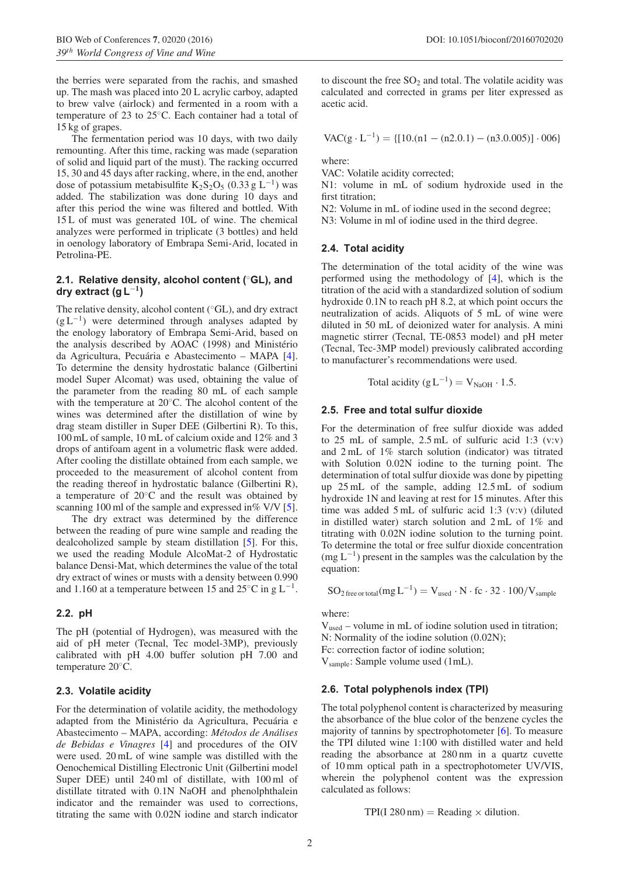the berries were separated from the rachis, and smashed up. The mash was placed into 20 L acrylic carboy, adapted to brew valve (airlock) and fermented in a room with a temperature of 23 to 25◦C. Each container had a total of 15 kg of grapes.

The fermentation period was 10 days, with two daily remounting. After this time, racking was made (separation of solid and liquid part of the must). The racking occurred 15, 30 and 45 days after racking, where, in the end, another dose of potassium metabisulfite K<sub>2</sub>S<sub>2</sub>O<sub>5</sub> (0.33 g L<sup>-1</sup>) was added. The stabilization was done during 10 days and after this period the wine was filtered and bottled. With 15 L of must was generated 10L of wine. The chemical analyzes were performed in triplicate (3 bottles) and held in oenology laboratory of Embrapa Semi-Arid, located in Petrolina-PE.

#### **2.1. Relative density, alcohol content (**◦**GL), and dry extract (g L**<sup>−</sup>**<sup>1</sup>)**

The relative density, alcohol content (◦GL), and dry extract  $(g L^{-1})$  were determined through analyses adapted by the enology laboratory of Embrapa Semi-Arid, based on the analysis described by AOAC (1998) and Ministério da Agricultura, Pecuária e Abastecimento – MAPA [[4\]](#page-6-3). To determine the density hydrostatic balance (Gilbertini model Super Alcomat) was used, obtaining the value of the parameter from the reading 80 mL of each sample with the temperature at 20◦C. The alcohol content of the wines was determined after the distillation of wine by drag steam distiller in Super DEE (Gilbertini R). To this, 100 mL of sample, 10 mL of calcium oxide and 12% and 3 drops of antifoam agent in a volumetric flask were added. After cooling the distillate obtained from each sample, we proceeded to the measurement of alcohol content from the reading thereof in hydrostatic balance (Gilbertini R), a temperature of 20◦C and the result was obtained by scanning 100 ml of the sample and expressed in % V/V [\[5\]](#page-6-4).

The dry extract was determined by the difference between the reading of pure wine sample and reading the dealcoholized sample by steam distillation [\[5\]](#page-6-4). For this, we used the reading Module AlcoMat-2 of Hydrostatic balance Densi-Mat, which determines the value of the total dry extract of wines or musts with a density between 0.990 and 1.160 at a temperature between 15 and 25 $\mathrm{^{\circ}C}$  in g L<sup>-1</sup>.

## **2.2. pH**

The pH (potential of Hydrogen), was measured with the aid of pH meter (Tecnal, Tec model-3MP), previously calibrated with pH 4.00 buffer solution pH 7.00 and temperature 20◦C.

## **2.3. Volatile acidity**

For the determination of volatile acidity, the methodology adapted from the Ministério da Agricultura, Pecuária e Abastecimento – MAPA, according: Métodos de Análises *de Bebidas e Vinagres* [\[4](#page-6-3)] and procedures of the OIV were used. 20 mL of wine sample was distilled with the Oenochemical Distilling Electronic Unit (Gilbertini model Super DEE) until 240 ml of distillate, with 100 ml of distillate titrated with 0.1N NaOH and phenolphthalein indicator and the remainder was used to corrections, titrating the same with 0.02N iodine and starch indicator to discount the free  $SO_2$  and total. The volatile acidity was calculated and corrected in grams per liter expressed as acetic acid.

$$
VAC(g \cdot L^{-1}) = \{ [10. (n1 - (n2.0.1) - (n3.0.005)] \cdot 006 \}
$$

where:

VAC: Volatile acidity corrected;

N1: volume in mL of sodium hydroxide used in the first titration;

N2: Volume in mL of iodine used in the second degree;

N3: Volume in ml of iodine used in the third degree.

## **2.4. Total acidity**

The determination of the total acidity of the wine was performed using the methodology of [\[4\]](#page-6-3), which is the titration of the acid with a standardized solution of sodium hydroxide 0.1N to reach pH 8.2, at which point occurs the neutralization of acids. Aliquots of 5 mL of wine were diluted in 50 mL of deionized water for analysis. A mini magnetic stirrer (Tecnal, TE-0853 model) and pH meter (Tecnal, Tec-3MP model) previously calibrated according to manufacturer's recommendations were used.

Total acidity  $(g L^{-1}) = V_{\text{NaOH}} \cdot 1.5$ .

#### **2.5. Free and total sulfur dioxide**

For the determination of free sulfur dioxide was added to 25 mL of sample, 2.5 mL of sulfuric acid 1:3 (v:v) and 2 mL of 1% starch solution (indicator) was titrated with Solution 0.02N iodine to the turning point. The determination of total sulfur dioxide was done by pipetting up 25 mL of the sample, adding 12.5 mL of sodium hydroxide 1N and leaving at rest for 15 minutes. After this time was added 5 mL of sulfuric acid 1:3 (v:v) (diluted in distilled water) starch solution and 2 mL of 1% and titrating with 0.02N iodine solution to the turning point. To determine the total or free sulfur dioxide concentration  $(mg L^{-1})$  present in the samples was the calculation by the equation:

 $\mathrm{SO}_{2\,\mathrm{free\,ortotal}}(\mathrm{mg\,L}^{-1}) = \mathrm{V}_{\mathrm{used}}\cdot\mathrm{N}\cdot\mathrm{fc}\cdot32\cdot100/\mathrm{V}_{\mathrm{sample}}$ 

where:

Vused – volume in mL of iodine solution used in titration; N: Normality of the iodine solution (0.02N); Fc: correction factor of iodine solution; Vsample: Sample volume used (1mL).

## **2.6. Total polyphenols index (TPI)**

The total polyphenol content is characterized by measuring the absorbance of the blue color of the benzene cycles the majority of tannins by spectrophotometer [\[6](#page-7-0)]. To measure the TPI diluted wine 1:100 with distilled water and held reading the absorbance at 280 nm in a quartz cuvette of 10 mm optical path in a spectrophotometer UV/VIS, wherein the polyphenol content was the expression calculated as follows:

 $TPI(I 280 nm) = Reading \times dilution.$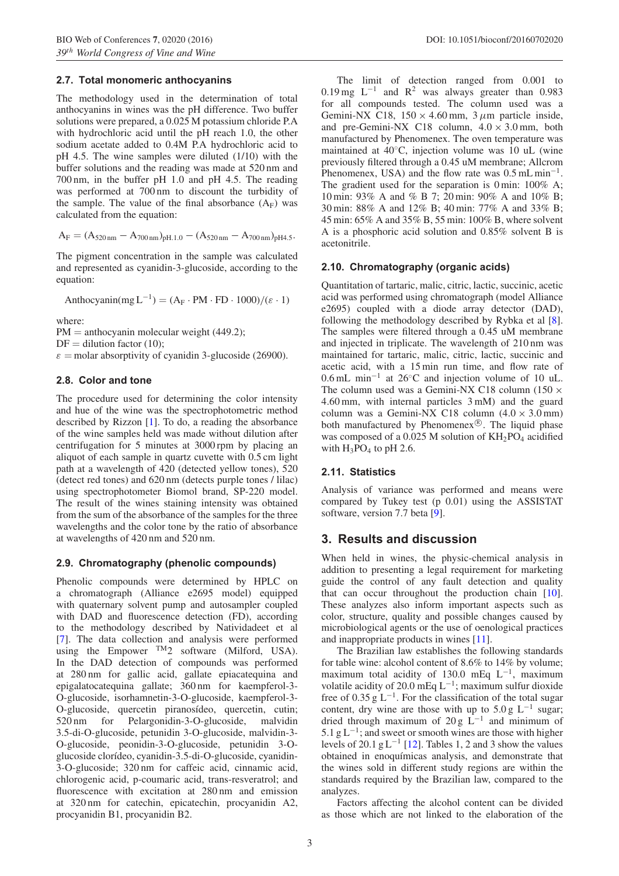## **2.7. Total monomeric anthocyanins**

The methodology used in the determination of total anthocyanins in wines was the pH difference. Two buffer solutions were prepared, a 0.025 M potassium chloride P.A with hydrochloric acid until the pH reach 1.0, the other sodium acetate added to 0.4M P.A hydrochloric acid to pH 4.5. The wine samples were diluted (1/10) with the buffer solutions and the reading was made at 520 nm and 700 nm, in the buffer pH 1.0 and pH 4.5. The reading was performed at 700 nm to discount the turbidity of the sample. The value of the final absorbance  $(A_F)$  was calculated from the equation:

$$
A_F = (A_{520\,\text{nm}} - A_{700\,\text{nm}})_{pH.1.0} - (A_{520\,\text{nm}} - A_{700\,\text{nm}})_{pH4.5}.
$$

The pigment concentration in the sample was calculated and represented as cyanidin-3-glucoside, according to the equation:

Anthocyanin(mg  $L^{-1}$ ) = (A<sub>F</sub> · PM · FD · 1000)/( $\varepsilon$  · 1)

where:

 $PM =$  anthocyanin molecular weight (449.2);

 $DF =$  dilution factor (10);

 $\varepsilon$  = molar absorptivity of cyanidin 3-glucoside (26900).

## **2.8. Color and tone**

The procedure used for determining the color intensity and hue of the wine was the spectrophotometric method described by Rizzon [\[1\]](#page-6-0). To do, a reading the absorbance of the wine samples held was made without dilution after centrifugation for 5 minutes at 3000 rpm by placing an aliquot of each sample in quartz cuvette with 0.5 cm light path at a wavelength of 420 (detected yellow tones), 520 (detect red tones) and 620 nm (detects purple tones / lilac) using spectrophotometer Biomol brand, SP-220 model. The result of the wines staining intensity was obtained from the sum of the absorbance of the samples for the three wavelengths and the color tone by the ratio of absorbance at wavelengths of 420 nm and 520 nm.

## **2.9. Chromatography (phenolic compounds)**

Phenolic compounds were determined by HPLC on a chromatograph (Alliance e2695 model) equipped with quaternary solvent pump and autosampler coupled with DAD and fluorescence detection (FD), according to the methodology described by Natividadeet et al [\[7](#page-7-1)]. The data collection and analysis were performed using the Empower  $^{TM}2$  software (Milford, USA). In the DAD detection of compounds was performed at 280 nm for gallic acid, gallate epiacatequina and epigalatocatequina gallate; 360 nm for kaempferol-3- O-glucoside, isorhamnetin-3-O-glucoside, kaempferol-3- O-glucoside, quercetin piranosídeo, quercetin, cutin; 520 nm for Pelargonidin-3-O-glucoside, malvidin 3.5-di-O-glucoside, petunidin 3-O-glucoside, malvidin-3- O-glucoside, peonidin-3-O-glucoside, petunidin 3-Oglucoside clorídeo, cyanidin-3.5-di-O-glucoside, cyanidin-3-O-glucoside; 320 nm for caffeic acid, cinnamic acid, chlorogenic acid, p-coumaric acid, trans-resveratrol; and fluorescence with excitation at 280 nm and emission at 320 nm for catechin, epicatechin, procyanidin A2, procyanidin B1, procyanidin B2.

The limit of detection ranged from 0.001 to 0.19 mg  $L^{-1}$  and  $R^2$  was always greater than 0.983 for all compounds tested. The column used was a Gemini-NX C18,  $150 \times 4.60$  mm,  $3 \mu$ m particle inside, and pre-Gemini-NX C18 column,  $4.0 \times 3.0$  mm, both manufactured by Phenomenex. The oven temperature was maintained at 40◦C, injection volume was 10 uL (wine previously filtered through a 0.45 uM membrane; Allcrom Phenomenex, USA) and the flow rate was  $0.5$  mL min<sup>-1</sup>. The gradient used for the separation is 0 min:  $100\%$  A; 10 min: 93% A and % B 7; 20 min: 90% A and 10% B; 30 min: 88% A and 12% B; 40 min: 77% A and 33% B; 45 min: 65% A and 35% B, 55 min: 100% B, where solvent A is a phosphoric acid solution and 0.85% solvent B is acetonitrile.

## **2.10. Chromatography (organic acids)**

Quantitation of tartaric, malic, citric, lactic, succinic, acetic acid was performed using chromatograph (model Alliance e2695) coupled with a diode array detector (DAD), following the methodology described by Rybka et al [\[8](#page-7-2)]. The samples were filtered through a 0.45 uM membrane and injected in triplicate. The wavelength of 210 nm was maintained for tartaric, malic, citric, lactic, succinic and acetic acid, with a 15 min run time, and flow rate of 0.6 mL min<sup>−</sup><sup>1</sup> at 26◦C and injection volume of 10 uL. The column used was a Gemini-NX C18 column (150  $\times$ 4.60 mm, with internal particles 3 mM) and the guard column was a Gemini-NX C18 column  $(4.0 \times 3.0 \text{ mm})$ both manufactured by Phenomenex $\mathcal{B}$ . The liquid phase was composed of a 0.025 M solution of  $KH_2PO_4$  acidified with  $H_3PO_4$  to pH 2.6.

## **2.11. Statistics**

Analysis of variance was performed and means were compared by Tukey test (p 0.01) using the ASSISTAT software, version 7.7 beta [\[9](#page-7-3)].

# **3. Results and discussion**

When held in wines, the physic-chemical analysis in addition to presenting a legal requirement for marketing guide the control of any fault detection and quality that can occur throughout the production chain [\[10](#page-7-4)]. These analyzes also inform important aspects such as color, structure, quality and possible changes caused by microbiological agents or the use of oenological practices and inappropriate products in wines [\[11\]](#page-7-5).

The Brazilian law establishes the following standards for table wine: alcohol content of 8.6% to 14% by volume; maximum total acidity of 130.0 mEq  $L^{-1}$ , maximum volatile acidity of 20.0 mEq  $L^{-1}$ ; maximum sulfur dioxide free of 0.35 g  $L^{-1}$ . For the classification of the total sugar content, dry wine are those with up to  $5.0 g L^{-1}$  sugar; dried through maximum of 20 g  $\hat{L}^{-1}$  and minimum of 5.1 g  $L^{-1}$ ; and sweet or smooth wines are those with higher levels of 20.1 g  $L^{-1}$  [\[12](#page-7-6)]. Tables 1, 2 and 3 show the values obtained in enoquímicas analysis, and demonstrate that the wines sold in different study regions are within the standards required by the Brazilian law, compared to the analyzes.

Factors affecting the alcohol content can be divided as those which are not linked to the elaboration of the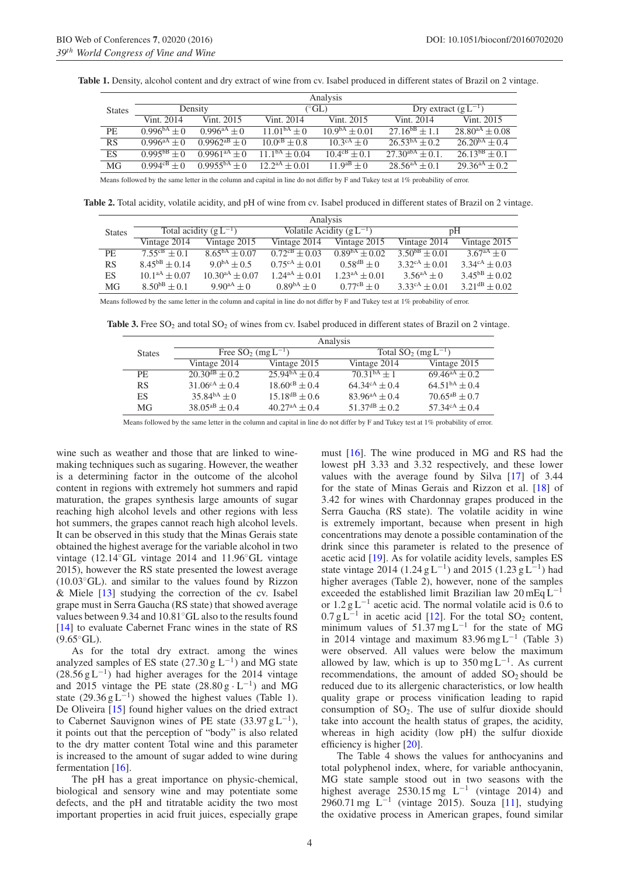|               |                          |                          |                            | Analysis                 |                          |                      |
|---------------|--------------------------|--------------------------|----------------------------|--------------------------|--------------------------|----------------------|
| <b>States</b> |                          | Density                  |                            | $(^{\circ}GL)$           | Dry extract $(g L^{-1})$ |                      |
|               | Vint. 2014               | Vint. 2015               | Vint. 2014                 | Vint. 2015               | Vint. 2014               | Vint. 2015           |
| PE            | $0.996^{bA} + 0$         | 0.996 <sup>aA</sup> + 0. | $11.01^{bA}+0$             | $10.9bA + 0.01$          | $27.16^{bB} + 1.1$       | $28.80^{aA} + 0.08$  |
| RS            | 0.996 <sup>aA</sup> + 0. | $0.9962^{aB}+0$          | $10.0^{cB} + 0.8$          | $10^{3cA} + 0$           | $26.53^{bA} + 0.2$       | $26.20^{bA} + 0.4$   |
| <b>ES</b>     | $0.995^{bB} + 0$         | $0.9961^{aA} + 0$        | $11^{bA} + 0.04$           | $10.4^{\text{cB}} + 0.1$ | $27.30^{abA} + 0.1$      | $2613^{b}+01$        |
| MG            | 0.994 <sup>cB</sup> + 0  | 0.9955 <sup>bA</sup> + 0 | $\frac{12.2^{aA}+0.01}{b}$ | $11.9^{aB} + 0$          | $28.56^{aA} + 0.1$       | $29.36^{aA} \pm 0.2$ |
|               |                          |                          |                            |                          |                          |                      |

**Table 1.** Density, alcohol content and dry extract of wine from cv. Isabel produced in different states of Brazil on 2 vintage.

Means followed by the same letter in the column and capital in line do not differ by F and Tukey test at 1% probability of error.

**Table 2.** Total acidity, volatile acidity, and pH of wine from cv. Isabel produced in different states of Brazil on 2 vintage.

|               |                      |                            | Analysis                    |                               |                             |                             |
|---------------|----------------------|----------------------------|-----------------------------|-------------------------------|-----------------------------|-----------------------------|
| <b>States</b> |                      | Total acidity $(g L^{-1})$ |                             | Volatile Acidity $(g L^{-1})$ |                             | рH                          |
|               | Vintage 2014         | Vintage 2015               | Vintage 2014                | Vintage 2015                  | Vintage 2014                | Vintage 2015                |
| PE.           | $7.55^{cB} + 0.1$    | $8.65^{bA} \pm 0.07$       | $0.72^{\text{cB}} \pm 0.03$ | $0.89bA + 0.02$               | $3.50^{bB} \pm 0.01$        | $3.67^{aA} + 0$             |
| <b>RS</b>     | $8.45^{bB} \pm 0.14$ | $9.0^{bA} \pm 0.5$         | $0.75^{\text{cA}} \pm 0.01$ | $0.58^{dB} + 0$               | $3.32^{\text{cA}} \pm 0.01$ | $3.34^{\text{cA}} \pm 0.03$ |
| ES            | $10.1^{aA} \pm 0.07$ | $10.30^{aA} \pm 0.07$      | $1.24^{\text{aA}} \pm 0.01$ | $1.23^{aA} \pm 0.01$          | $3.56^{aA} + 0$             | $3.45^{bB} \pm 0.02$        |
| MG            | $8.50^{bB} + 0.1$    | $9.90^{aA} + 0$            | $0.89^{bA} + 0$             | $0.77^{cB} + 0$               | $3.33^{\text{cA}} \pm 0.01$ | $3.21^{\text{dB}} \pm 0.02$ |

Means followed by the same letter in the column and capital in line do not differ by F and Tukey test at 1% probability of error.

**Table 3.** Free SO<sub>2</sub> and total SO<sub>2</sub> of wines from cv. Isabel produced in different states of Brazil on 2 vintage.

|               |                             |                            | Analysis                    |                             |
|---------------|-----------------------------|----------------------------|-----------------------------|-----------------------------|
| <b>States</b> |                             | Free $SO_2$ (mg $L^{-1}$ ) | Total $SO_2$ (mg $L^{-1}$ ) |                             |
|               | Vintage 2014                | Vintage 2015               | Vintage 2014                | Vintage 2015                |
| PE            | $20.30^{dB} + 0.2$          | $25.946A \pm 0.4$          | $70.31bA + 1$               | $69.46^{aA} \pm 0.2$        |
| RS            | $31.06^{\text{cA}} \pm 0.4$ | $18.60^{cB} \pm 0.4$       | $64.34^{\text{cA}} + 0.4$   | $64.51bA \pm 0.4$           |
| ES.           | $35.84^{bA} \pm 0$          | $15.18^{dB} \pm 0.6$       | $83.96^{aA} \pm 0.4$        | $70.65^{aB} \pm 0.7$        |
| MG            | $38.05^{aB} \pm 0.4$        | $40.27^{aA} \pm 0.4$       | $51.37^{\text{dB}} \pm 0.2$ | $57.34^{\text{cA}} \pm 0.4$ |

Means followed by the same letter in the column and capital in line do not differ by F and Tukey test at 1% probability of error.

wine such as weather and those that are linked to winemaking techniques such as sugaring. However, the weather is a determining factor in the outcome of the alcohol content in regions with extremely hot summers and rapid maturation, the grapes synthesis large amounts of sugar reaching high alcohol levels and other regions with less hot summers, the grapes cannot reach high alcohol levels. It can be observed in this study that the Minas Gerais state obtained the highest average for the variable alcohol in two vintage (12.14◦GL vintage 2014 and 11.96◦GL vintage 2015), however the RS state presented the lowest average  $(10.03°\text{GL})$ . and similar to the values found by Rizzon & Miele [\[13\]](#page-7-7) studying the correction of the cv. Isabel grape must in Serra Gaucha (RS state) that showed average values between 9.34 and 10.81◦GL also to the results found [\[14](#page-7-8)] to evaluate Cabernet Franc wines in the state of RS  $(9.65°\text{GL})$ .

As for the total dry extract. among the wines analyzed samples of ES state (27.30 g  $L^{-1}$ ) and MG state  $(28.56 \text{ g L}^{-1})$  had higher averages for the 2014 vintage and 2015 vintage the PE state  $(28.80 g \cdot L^{-1})$  and MG state  $(29.36 \text{ g L}^{-1})$  showed the highest values (Table 1). De Oliveira [\[15](#page-7-9)] found higher values on the dried extract to Cabernet Sauvignon wines of PE state  $(33.97 \text{ g L}^{-1})$ , it points out that the perception of "body" is also related to the dry matter content Total wine and this parameter is increased to the amount of sugar added to wine during fermentation [\[16\]](#page-7-10).

The pH has a great importance on physic-chemical, biological and sensory wine and may potentiate some defects, and the pH and titratable acidity the two most important properties in acid fruit juices, especially grape must [\[16](#page-7-10)]. The wine produced in MG and RS had the lowest pH 3.33 and 3.32 respectively, and these lower values with the average found by Silva [\[17\]](#page-7-11) of 3.44 for the state of Minas Gerais and Rizzon et al. [\[18](#page-7-12)] of 3.42 for wines with Chardonnay grapes produced in the Serra Gaucha (RS state). The volatile acidity in wine is extremely important, because when present in high concentrations may denote a possible contamination of the drink since this parameter is related to the presence of acetic acid [\[19\]](#page-7-13). As for volatile acidity levels, samples ES state vintage 2014 (1.24 g L<sup>-1</sup>) and 2015 (1.23 g L<sup>-1</sup>) had higher averages (Table 2), however, none of the samples exceeded the established limit Brazilian law  $20 \text{ mEq L}^{-1}$ or  $1.2 g L^{-1}$  acetic acid. The normal volatile acid is 0.6 to  $0.7 g L^{-1}$  in acetic acid [\[12\]](#page-7-6). For the total SO<sub>2</sub> content, minimum values of 51.37 mg L<sup>-1</sup> for the state of MG in 2014 vintage and maximum 83.96 mg L<sup>-1</sup> (Table 3) were observed. All values were below the maximum allowed by law, which is up to  $350 \text{ mg } L^{-1}$ . As current recommendations, the amount of added  $SO<sub>2</sub>$  should be reduced due to its allergenic characteristics, or low health quality grape or process vinification leading to rapid consumption of  $SO_2$ . The use of sulfur dioxide should take into account the health status of grapes, the acidity, whereas in high acidity (low pH) the sulfur dioxide efficiency is higher [\[20\]](#page-7-14).

The Table 4 shows the values for anthocyanins and total polyphenol index, where, for variable anthocyanin, MG state sample stood out in two seasons with the highest average 2530.15 mg  $L^{-1}$  (vintage 2014) and 2960.71 mg L<sup>−</sup><sup>1</sup> (vintage 2015). Souza [\[11](#page-7-5)], studying the oxidative process in American grapes, found similar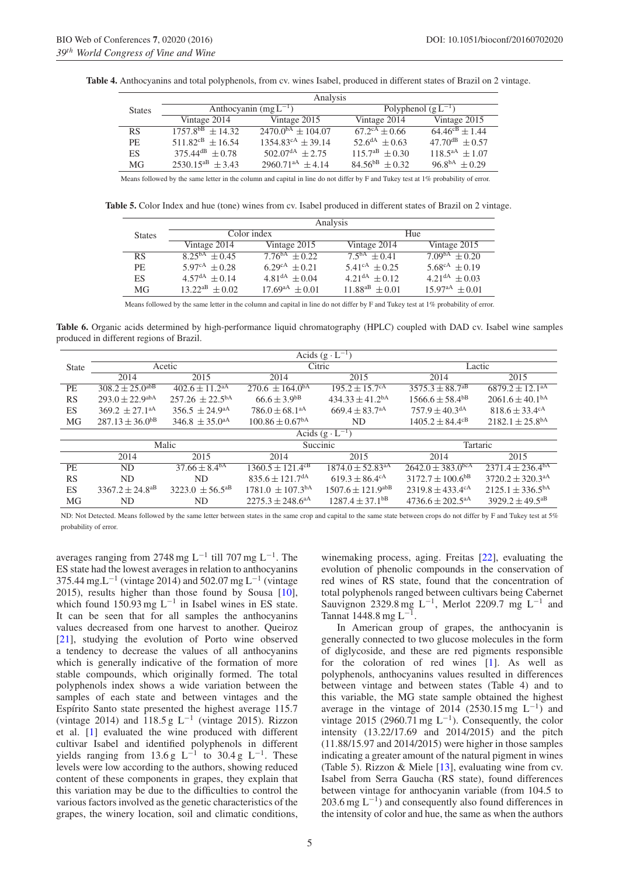|               |                                   | Analysis                        |                                    |                       |
|---------------|-----------------------------------|---------------------------------|------------------------------------|-----------------------|
| <b>States</b> |                                   | Anthocyanin $(mg L^{-1})$       | Polyphenol $(g L^{-1})$            |                       |
|               | Vintage 2014                      | Vintage 2015                    | Vintage 2014                       | Vintage 2015          |
| <b>RS</b>     | $1757.8^{bB} + 14.32$             | $2470.0^{bA} \pm 104.07$        | $\sqrt{67.2}$ <sup>cA</sup> ± 0.66 | $64.46^{cB} \pm 1.44$ |
| <b>PE</b>     | $511.82^{cB} + 16.54$             | $1354.83^{\text{cA}} \pm 39.14$ | $52.6^{\text{dA}} \pm 0.63$        | $47.70^{dB} + 0.57$   |
| ES            | $375.44$ <sup>dB</sup> $\pm$ 0.78 | $502.07da + 2.75$               | $115.7^{aB} \pm 0.30$              | $118.5^{aA} \pm 1.07$ |
| MG            | $2530.15^{aB} \pm 3.43$           | $2960.71^{aA} \pm 4.14$         | $84.56^{bB} + 0.32$                | $96.8^{bA} \pm 0.29$  |

**Table 4.** Anthocyanins and total polyphenols, from cv. wines Isabel, produced in different states of Brazil on 2 vintage.

Means followed by the same letter in the column and capital in line do not differ by F and Tukey test at 1% probability of error.

**Table 5.** Color Index and hue (tone) wines from cv. Isabel produced in different states of Brazil on 2 vintage.

|               |                               |                               | Analysis                  |                             |
|---------------|-------------------------------|-------------------------------|---------------------------|-----------------------------|
| <b>States</b> | Color index                   |                               |                           | Hue                         |
|               | Vintage 2014                  | Vintage 2015                  | Vintage 2014              | Vintage 2015                |
| RS            | $\sqrt{8.25}^{bA}$ + 0.45     | $7.76^{\text{bA}} + 0.22$     | $7.5^{\text{bA}} + 0.41$  | $7.09bA \pm 0.20$           |
| <b>PE</b>     | $5.97^{\text{cA}} \pm 0.28$   | 6.29 <sup>cA</sup> $\pm$ 0.21 | $5.41^{\text{cA}} + 0.25$ | $5.68^{\text{cA}} \pm 0.19$ |
| ES            | 4.57 <sup>dA</sup> $\pm$ 0.14 | $4.81^{dA} \pm 0.04$          | $4.21^{dA} + 0.12$        | $4.21^{dA} \pm 0.03$        |
| MG            | $13.22^{aB} + 0.02$           | $17.69^{aA} + 0.01$           | $11.88^{aB} + 0.01$       | $15.97^{\text{aA}} + 0.01$  |

Means followed by the same letter in the column and capital in line do not differ by F and Tukey test at 1% probability of error.

**Table 6.** Organic acids determined by high-performance liquid chromatography (HPLC) coupled with DAD cv. Isabel wine samples produced in different regions of Brazil.

|              |                                 |                                |                                  | Acids $(g \cdot L^{-1})$          |                                  |                                  |
|--------------|---------------------------------|--------------------------------|----------------------------------|-----------------------------------|----------------------------------|----------------------------------|
| <b>State</b> |                                 | Acetic                         |                                  | Citric                            | Lactic                           |                                  |
|              | 2014                            | 2015                           | 2014                             | 2015                              | 2014                             | 2015                             |
| PE           | $308.2 \pm 25.0^{\text{abB}}$   | $402.6 \pm 11.2$ <sup>aA</sup> | $270.6 \pm 164.0^{\text{bA}}$    | $195.2 \pm 15.7^{\text{cA}}$      | $3575.3 \pm 88.7$ <sup>aB</sup>  | $6879.2 \pm 12.1^{\text{aA}}$    |
| <b>RS</b>    | $293.0 \pm 22.9^{\text{abA}}$   | $257.26 \pm 22.5^{bA}$         | $66.6 \pm 3.9^{bB}$              | $434.33 \pm 41.2$ <sup>bA</sup>   | $1566.6 \pm 58.4$ <sup>bB</sup>  | $2061.6 \pm 40.1bA$              |
| ES           | $369.2 \pm 27.1$ <sup>aA</sup>  | $356.5 \pm 24.9^{\text{aA}}$   | $786.0 \pm 68.1$ <sup>aA</sup>   | $669.4 \pm 83.7$ <sup>aA</sup>    | $757.9 \pm 40.3$ <sup>dA</sup>   | $818.6 \pm 33.4$ <sup>cA</sup>   |
| <b>MG</b>    | $287.13 \pm 36.0^{\text{b}}$    | $346.8 \pm 35.0^{\text{aA}}$   | $100.86 \pm 0.67^{\text{bA}}$    | <b>ND</b>                         | $1405.2 \pm 84.4^{\text{cB}}$    | $2182.1 \pm 25.8^{\text{bA}}$    |
|              |                                 |                                |                                  | Acids $(g \cdot L^{-1})$          |                                  |                                  |
|              |                                 | Malic                          |                                  | Succinic                          | Tartaric                         |                                  |
|              | 2014                            | 2015                           | 2014                             | 2015                              | 2014                             | 2015                             |
| <b>PE</b>    | ND.                             | $37.66 \pm 8.4^{\rm bA}$       | $1360.5 \pm 121.4^{\text{cB}}$   | $1874.0 \pm 52.83$ <sup>aA</sup>  | $2642.0 \pm 383.0^{bca}$         | $2371.4 \pm 236.4^{\text{bA}}$   |
| <b>RS</b>    | <b>ND</b>                       | ND.                            | $835.6 \pm 121.7$ <sup>dA</sup>  | $619.3 \pm 86.4^{\text{cA}}$      | $3172.7 \pm 100.6$ <sup>bB</sup> | $3720.2 \pm 320.3$ <sup>aA</sup> |
| <b>ES</b>    | $3367.2 \pm 24.8$ <sup>aB</sup> | $3223.0 \pm 56.5^{\text{ab}}$  | $1781.0 \pm 107.3$ <sup>bA</sup> | $1507.6 \pm 121.9$ <sup>abB</sup> | $2319.8 \pm 433.4^{\text{cA}}$   | $2125.1 \pm 336.5^{bA}$          |
| MG           | ND                              | ND.                            | $2275.3 \pm 248.6$ <sup>aA</sup> | $1287.4 \pm 37.1$ <sup>bB</sup>   | $4736.6 \pm 202.5$ <sup>aA</sup> | $3929.2 \pm 49.5$ <sup>aB</sup>  |

ND: Not Detected. Means followed by the same letter between states in the same crop and capital to the same state between crops do not differ by F and Tukey test at 5% probability of error.

averages ranging from 2748 mg L<sup>-1</sup> till 707 mg L<sup>-1</sup>. The ES state had the lowest averages in relation to anthocyanins  $375.44 \text{ mg}$ . L<sup>-1</sup> (vintage 2014) and 502.07 mg L<sup>-1</sup> (vintage 2015), results higher than those found by Sousa [\[10\]](#page-7-4), which found 150.93 mg  $L^{-1}$  in Isabel wines in ES state. It can be seen that for all samples the anthocyanins values decreased from one harvest to another. Queiroz [\[21](#page-7-15)], studying the evolution of Porto wine observed a tendency to decrease the values of all anthocyanins which is generally indicative of the formation of more stable compounds, which originally formed. The total polyphenols index shows a wide variation between the samples of each state and between vintages and the Espírito Santo state presented the highest average 115.7 (vintage 2014) and 118.5 g  $L^{-1}$  (vintage 2015). Rizzon et al. [\[1\]](#page-6-0) evaluated the wine produced with different cultivar Isabel and identified polyphenols in different yields ranging from 13.6 g  $L^{-1}$  to 30.4 g  $L^{-1}$ . These levels were low according to the authors, showing reduced content of these components in grapes, they explain that this variation may be due to the difficulties to control the various factors involved as the genetic characteristics of the grapes, the winery location, soil and climatic conditions, winemaking process, aging. Freitas [\[22](#page-7-16)], evaluating the evolution of phenolic compounds in the conservation of red wines of RS state, found that the concentration of total polyphenols ranged between cultivars being Cabernet Sauvignon 2329.8 mg L<sup>-1</sup>, Merlot 2209.7 mg L<sup>-1</sup> and Tannat 1448.8 mg  $L^{-1}$ .

In American group of grapes, the anthocyanin is generally connected to two glucose molecules in the form of diglycoside, and these are red pigments responsible for the coloration of red wines [\[1\]](#page-6-0). As well as polyphenols, anthocyanins values resulted in differences between vintage and between states (Table 4) and to this variable, the MG state sample obtained the highest average in the vintage of 2014 (2530.15 mg  $L^{-1}$ ) and vintage 2015 (2960.71 mg L<sup>-1</sup>). Consequently, the color intensity (13.22/17.69 and 2014/2015) and the pitch (11.88/15.97 and 2014/2015) were higher in those samples indicating a greater amount of the natural pigment in wines (Table 5). Rizzon & Miele [\[13](#page-7-7)], evaluating wine from cv. Isabel from Serra Gaucha (RS state), found differences between vintage for anthocyanin variable (from 104.5 to 203.6 mg  $L^{-1}$ ) and consequently also found differences in the intensity of color and hue, the same as when the authors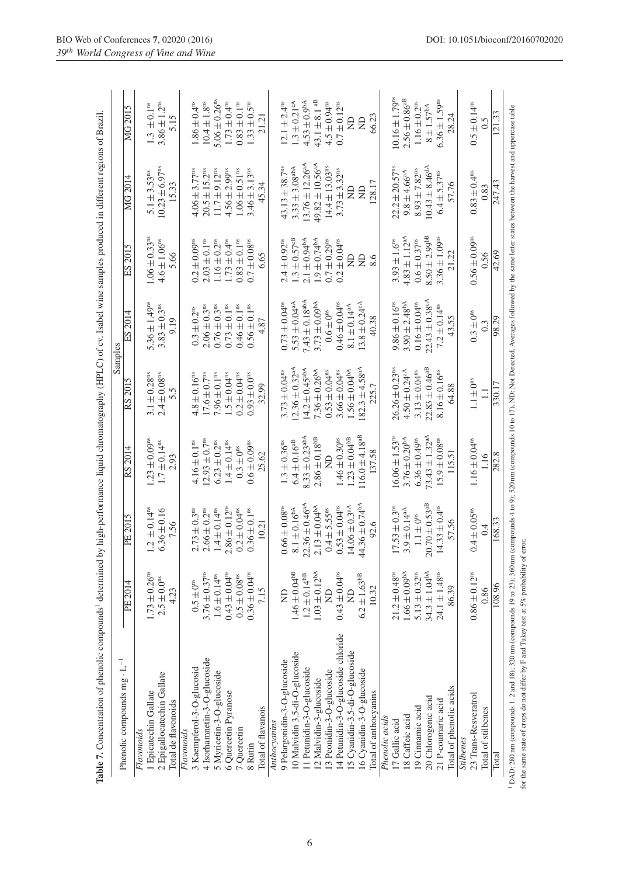|                                      |                               |                                                                                                                               |                                |                                | Samples                        |                               |                                 |                               |
|--------------------------------------|-------------------------------|-------------------------------------------------------------------------------------------------------------------------------|--------------------------------|--------------------------------|--------------------------------|-------------------------------|---------------------------------|-------------------------------|
| Phenolic compounds $mg \cdot L^{-1}$ | PE 2014                       | PE 2015                                                                                                                       | RS 2014                        | RS 2015                        | ES 2014                        | ES 2015                       | MG 2014                         | MG 2015                       |
| Flavonoids                           |                               |                                                                                                                               |                                |                                |                                |                               |                                 |                               |
| 1 Epicatechin Gallate                | $1.73 \pm 0.26$ <sup>ns</sup> | $1.2 \pm 0.14^{\text{ns}}$                                                                                                    | $1.23 \pm 0.09$ <sup>ns</sup>  | $3.1 \pm 0.28$ <sup>ns</sup>   | 5.36 $\pm$ 1.49 <sup>ns</sup>  | $1.06 \pm 0.33$ <sup>ns</sup> | $5.1 \pm 3.53$ <sup>ns</sup>    | $1.3 \pm 0.1^{\text{ns}}$     |
| 2 Epigallocatechin Gallate           | $2.5\pm0.0^{\rm ns}$          | $6.36 \pm 0.16$                                                                                                               | $1.7 \pm 0.14$ <sup>ns</sup>   | $2.4 \pm 0.08$ <sup>ns</sup>   | $3.83 \pm 0.3$ <sup>ns</sup>   | $4.6 \pm 1.06$ <sup>ns</sup>  | $10.23 \pm 6.97$ <sup>ns</sup>  | $3.86 \pm 1.2$ <sup>ns</sup>  |
| Total de flavonoids                  | 4.23                          | 7.56                                                                                                                          | 2.93                           | 5.5                            | 9.19                           | 5.66                          | 15.33                           | 5.15                          |
| Flavonoids                           |                               |                                                                                                                               |                                |                                |                                |                               |                                 |                               |
| 3 Kaempferol-3-O-glucosid            | $0.5 \pm 0$ <sup>ns</sup>     |                                                                                                                               | $4.16 \pm 0.1^{\text{ns}}$     | $4.8 \pm 0.16$ <sup>ns</sup>   | $0.3 \pm 0.2^{\rm ns}$         | $0.2 \pm 0.09$ <sup>ns</sup>  | $4.06 \pm 3.77$ <sup>ns</sup>   | $1.86 \pm 0.4$ <sup>ns</sup>  |
| 4 Isorhamnetin-3-O-glucoside         | $3.76\pm0.37^{\rm ns}$        |                                                                                                                               | $12.93 \pm 0.7$ <sup>ns</sup>  | $17.6\pm0.7^{\rm ns}$          | $2.06 \pm 0.3$ <sup>ns</sup>   | $2.03 \pm 0.1$ <sup>ns</sup>  | $20.5 \pm 15.2^{\text{ns}}$     | $10.4\pm1.8^{\rm ns}$         |
| 5 Myricetin-3-O-glucoside            | $1.6 \pm 0.14$ <sup>ns</sup>  | $2.73 \pm 0.3$ <sup>ns</sup><br>$2.66 \pm 0.2$ <sup>ns</sup><br>$1.4 \pm 0.14$ <sup>ns</sup><br>$2.86 \pm 0.12$ <sup>ns</sup> | $6.23 \pm 0.2$ <sup>ns</sup>   | $7.96 \pm 0.1^{ns}$            | $0.76 \pm 0.3$ <sup>ns</sup>   | $1.16 \pm 0.2$ <sup>ns</sup>  | $11.7 \pm 9.12^{\text{ns}}$     | $5.06 \pm 0.26$ <sup>ns</sup> |
| 6 Quercetin Pyranose                 | $0.43 \pm 0.04$ <sup>ns</sup> |                                                                                                                               | $1.4 \pm 0.14$ <sup>ns</sup>   | $1.5 \pm 0.04$ <sup>ns</sup>   | $0.73 \pm 0.1$ <sup>ns</sup>   | $1.73 \pm 0.4$ <sup>ns</sup>  | $4.56 \pm 2.99$ <sup>ns</sup>   | $1.73 \pm 0.4$ <sup>ns</sup>  |
| 7 Quercetin                          | $0.5 \pm 0.08$ <sup>ns</sup>  | $0.2\pm0.04^{\rm ns}$                                                                                                         | $0.3 \pm 0$ <sup>ns</sup>      | $0.2 \pm 0.04$ <sup>ns</sup>   | $0.46 \pm 0.1$ <sup>ns</sup>   | $0.83 \pm 0.1$ <sup>ns</sup>  | $1.06 \pm 0.51$ <sup>ns</sup>   | $0.83 \pm 0.1$ <sup>ns</sup>  |
| 8 Rutin                              | $0.36 \pm 0.04^{ns}$          | $0.36\pm0.1^{\rm ns}$                                                                                                         | $0.6 \pm 0.09$ <sup>ns</sup>   | $0.93 \pm 0.0^{\text{ns}}$     | $0.56 \pm 0.1^{ns}$            | $0.7 \pm 0.08$ <sup>as</sup>  | $3.46 \pm 3.13$ <sup>ns</sup>   | $1.33 \pm 0.5$ <sup>ns</sup>  |
| Total of flavanois                   | 7.15                          | 10.21                                                                                                                         | 25.62                          | 32.99                          | 4.87                           | 6.65                          | 45.34                           | 21.21                         |
| Anthocyanins                         |                               |                                                                                                                               |                                |                                |                                |                               |                                 |                               |
| 9 Pelargonidin-3-O-glucoside         | $\mathbb{R}$                  | $0.66 \pm 0.08$ <sup>ns</sup>                                                                                                 | $1.3 \pm 0.36$ <sup>ns</sup>   | $3.73 \pm 0.04$ <sup>ns</sup>  | $0.73 \pm 0.04$ <sup>ns</sup>  | $2.4 \pm 0.92^{\text{ns}}$    | 43.13 $\pm$ 38.7 <sup>ms</sup>  | $12.1 \pm 2.4^{\text{ns}}$    |
| 10 Malvidin 3.5-di-O-glucoside       | $1.46\pm0.04^{\mathrm{bB}}$   | $8.1 \pm 0.16^{bA}$                                                                                                           | $6.4 \pm 0.16$ <sup>aB</sup>   | $12.36 \pm 0.32$ <sup>aA</sup> | $5.53 \pm 0.04$ <sup>aA</sup>  | $1.3 \pm 0.57$ <sup>cB</sup>  | $3.33 \pm 3.08$ <sup>abA</sup>  | $1.3 \pm 0.21$ <sup>cA</sup>  |
| 11 Petunidin-3-O-glucoside           | $1.2 \pm 0.14^{bB}$           |                                                                                                                               | $8.33 \pm 0.23$ <sup>abA</sup> | $14.2 \pm 0.45$ <sup>abA</sup> | 7.43 $\pm$ 0.18 <sup>abA</sup> | $2.1 \pm 0.94^{\text{bA}}$    | $13.76 \pm 12.26$ <sup>aA</sup> | $4.53 \pm 0.9^{\text{bA}}$    |
| 12 Malvidin-3-glucoside              | $1.03 \pm 0.12^{bA}$          | $22.36 \pm 0.46$ <sup>aA</sup><br>$2.13 \pm 0.04$ <sup>bA</sup>                                                               | $2.86 \pm 0.18^{bB}$           | $7.36 \pm 0.26^{bA}$           | $3.73 \pm 0.09^{bA}$           | $1.9 \pm 0.74^{\text{bA}}$    | $49.82 \pm 10.56$ <sup>aA</sup> | $43.1 \pm 8.1$ <sup>aB</sup>  |
| 13 Peonidin-3-O-glucoside            | $\triangleq$                  | $0.4 \pm 5.55$ <sup>ns</sup>                                                                                                  | $\Xi$                          | $0.53 \pm 0.04$ <sup>ns</sup>  | $0.6\pm0^{\rm ns}$             | $0.7 \pm 0.29$ <sup>ns</sup>  | $14.4 \pm 13.03$ <sup>ns</sup>  | $4.5\pm0.94^{\rm ns}$         |
| 14 Petunidin-3-O-glucoside chloride  | $0.43\pm0.04^{\rm ns}$        | $0.53 \pm 0.04$ <sup>ns</sup>                                                                                                 | $1.46 \pm 0.30$ <sup>ns</sup>  | $3.66 \pm 0.04^{ns}$           | $0.46 \pm 0.04$ <sup>ns</sup>  | $0.2 \pm 0.04^{ns}$           | $3.73 \pm 3.32^{\text{ns}}$     | $0.7 \pm 0.12$ <sup>ns</sup>  |
| 15 Cyanidin-3.5-di-O-glucoside       | $\mathsf{R}$                  | $14.06 \pm 0.3$ <sup>aA</sup>                                                                                                 | $1.23 \pm 0.04^{bB}$           | $1.56 \pm 0.04^{bA}$           | $8.1 \pm 0.14$ <sup>aA</sup>   | g                             | g                               | g                             |
| $16$ Cyanidin-3-O-glucoside          | $6.2\pm1.63^{\mathrm{bB}}$    | $44.36 \pm 0.74^{\text{bA}}$                                                                                                  | $116.0 \pm 4.18$ <sup>aB</sup> | $182.3 \pm 4.58$ <sup>aA</sup> | $13.8 \pm 0.24$ <sup>cA</sup>  | g                             | g                               | g                             |
| Total of anthocyanins                | 10.32                         | 92.6                                                                                                                          | 137.58                         | 225.7                          | 40.38                          | 8.6                           | 128.17                          | 66.23                         |
| Phenolic acids                       |                               |                                                                                                                               |                                |                                |                                |                               |                                 |                               |
| 17 Gallic acid                       | $21.2 \pm 0.48$ <sup>ns</sup> | $17.53 \pm 0.3$ <sup>ns</sup>                                                                                                 | $16.06 \pm 1.53$ <sup>ns</sup> | $26.26 \pm 0.23$ <sup>ns</sup> | $9.86 \pm 0.16$ <sup>ns</sup>  | $3.93 \pm 1.6^{\circ\circ}$   | $22.2 \pm 20.57$ <sup>ns</sup>  | $10.16 \pm 1.79^{\text{ns}}$  |
| 18 Caffeic acid                      | $.66 \pm 0.09^{hA}$           | $3.9 \pm 0.14$ <sup>aA</sup>                                                                                                  | $3.76 \pm 0.20^{bA}$           | $4.50 \pm 0.24$ <sup>aA</sup>  | $3.90 \pm 2.48^{\text{bA}}$    | $4.83 \pm 1.12$ <sup>aA</sup> | $9.8 \pm 4.66$ <sup>aA</sup>    | $2.56 \pm 0.86$ <sup>aB</sup> |
| 19 Cinnamic acid                     | 5.13 $\pm$ 0.32 <sup>ns</sup> | $1.1\pm0^\mathrm{ns}$                                                                                                         | $6.36 \pm 0.49$ <sup>ns</sup>  | $3.13 \pm 0.04^{ns}$           | $0.16 \pm 0.04$ <sup>ns</sup>  | $0.6 \pm 0.37$ <sup>ns</sup>  | $8.93 \pm 7.82$ <sup>ns</sup>   | $1.16 \pm 0.2^{\text{ns}}$    |
| 20 Chlorogenic acid                  | $34.3 \pm 1.04^{bA}$          | $20.70 \pm 0.53$ <sup>aB</sup>                                                                                                | $73.43 \pm 1.32$ <sup>aA</sup> | $22.83 \pm 0.46$ <sup>aB</sup> | $22.43 \pm 0.38$ <sup>cA</sup> | $8.50 \pm 2.99$ <sup>bB</sup> | $10.43 \pm 8.46$ <sup>dA</sup>  | $8 \pm 1.57^{\text{bA}}$      |
| 21 P-coumaric acid                   | $24.1 \pm 1.48$ <sup>ns</sup> | $14.33 \pm 0.4^{\text{ns}}$                                                                                                   | $15.9\pm0.08^{\rm ns}$         | $8.16 \pm 0.16$ <sup>ns</sup>  | $7.2 \pm 0.14$ <sup>ns</sup>   | $3.36 \pm 1.09$ <sup>ns</sup> | $6.4 \pm 5.37$ <sup>ns</sup>    | $6.36 \pm 1.59$ <sup>ns</sup> |
| Total of phenolic acids              | 86.39                         | 57.56                                                                                                                         | 115.51                         | 64.88                          | 43.55                          | 21.22                         | 57.76                           | 28.24                         |
| <b>Stilbenes</b>                     |                               |                                                                                                                               |                                |                                |                                |                               |                                 |                               |
| 23 Trans-Resveratrol                 | $0.86 \pm 0.12$ <sup>ns</sup> | $0.4 \pm 0.05$ <sup>as</sup>                                                                                                  | $1.16 \pm 0.04$ <sup>ns</sup>  | $1.1 \pm 0$ <sup>ns</sup>      | $0.3 \pm 0$ <sup>ns</sup>      | $0.56 \pm 0.09$ <sup>ns</sup> | $0.83 \pm 0.4$ <sup>ns</sup>    | $0.5 \pm 0.14$ <sup>ns</sup>  |
| Total of stilbenes                   | 0.86                          | 0.4                                                                                                                           | 1.16                           |                                | $0.\overline{3}$               | 0.56                          | 0.83                            | 0.5                           |
| Total                                | 108.96                        | 168.33                                                                                                                        | 282.8                          | 330.17                         | 98.29                          | 42.69                         | 247.43                          | 121.33                        |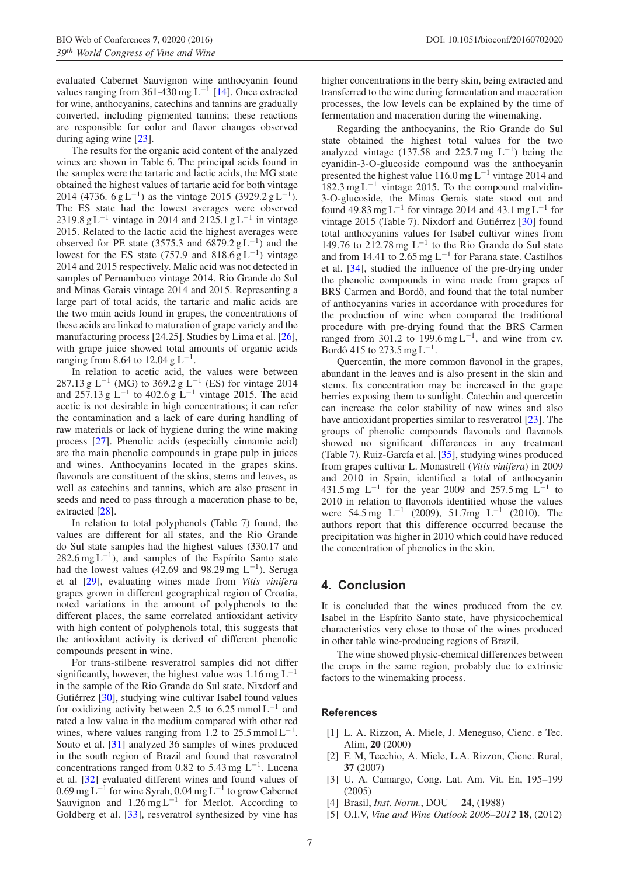evaluated Cabernet Sauvignon wine anthocyanin found values ranging from 361-430 mg L<sup>-1</sup> [\[14](#page-7-8)]. Once extracted for wine, anthocyanins, catechins and tannins are gradually converted, including pigmented tannins; these reactions are responsible for color and flavor changes observed during aging wine [\[23](#page-7-17)].

The results for the organic acid content of the analyzed wines are shown in Table 6. The principal acids found in the samples were the tartaric and lactic acids, the MG state obtained the highest values of tartaric acid for both vintage 2014 (4736.  $6 \text{ g L}^{-1}$ ) as the vintage 2015 (3929.2 g L<sup>-1</sup>). The ES state had the lowest averages were observed 2319.8 g L<sup>-1</sup> vintage in 2014 and 2125.1 g L<sup>-1</sup> in vintage 2015. Related to the lactic acid the highest averages were observed for PE state (3575.3 and 6879.2  $g L^{-1}$ ) and the lowest for the ES state (757.9 and 818.6  $g L^{-1}$ ) vintage 2014 and 2015 respectively. Malic acid was not detected in samples of Pernambuco vintage 2014. Rio Grande do Sul and Minas Gerais vintage 2014 and 2015. Representing a large part of total acids, the tartaric and malic acids are the two main acids found in grapes, the concentrations of these acids are linked to maturation of grape variety and the manufacturing process [24.25]. Studies by Lima et al. [\[26\]](#page-7-18), with grape juice showed total amounts of organic acids ranging from 8.64 to 12.04 g L<sup>-1</sup>.

In relation to acetic acid, the values were between 287.13 g L<sup>-1</sup> (MG) to 369.2 g L<sup>-1</sup> (ES) for vintage 2014 and 257.13 g  $L^{-1}$  to 402.6 g  $L^{-1}$  vintage 2015. The acid acetic is not desirable in high concentrations; it can refer the contamination and a lack of care during handling of raw materials or lack of hygiene during the wine making process [\[27\]](#page-7-19). Phenolic acids (especially cinnamic acid) are the main phenolic compounds in grape pulp in juices and wines. Anthocyanins located in the grapes skins. flavonols are constituent of the skins, stems and leaves, as well as catechins and tannins, which are also present in seeds and need to pass through a maceration phase to be, extracted [\[28](#page-7-20)].

In relation to total polyphenols (Table 7) found, the values are different for all states, and the Rio Grande do Sul state samples had the highest values (330.17 and  $282.6$  mg L<sup>-1</sup>), and samples of the Espírito Santo state had the lowest values (42.69 and 98.29 mg L<sup>-1</sup>). Seruga et al [\[29](#page-7-21)], evaluating wines made from *Vitis vinifera* grapes grown in different geographical region of Croatia, noted variations in the amount of polyphenols to the different places, the same correlated antioxidant activity with high content of polyphenols total, this suggests that the antioxidant activity is derived of different phenolic compounds present in wine.

For trans-stilbene resveratrol samples did not differ significantly, however, the highest value was  $1.16 \text{ mg } L^{-1}$ in the sample of the Rio Grande do Sul state. Nixdorf and Gutiérrez [[30\]](#page-7-22), studying wine cultivar Isabel found values for oxidizing activity between 2.5 to 6.25 mmol  $L^{-1}$  and rated a low value in the medium compared with other red wines, where values ranging from 1.2 to 25.5 mmol  $L^{-1}$ . Souto et al. [\[31](#page-7-23)] analyzed 36 samples of wines produced in the south region of Brazil and found that resveratrol concentrations ranged from 0.82 to 5.43 mg  $L^{-1}$ . Lucena et al. [\[32](#page-7-24)] evaluated different wines and found values of  $0.69$  mg L<sup>-1</sup> for wine Syrah,  $0.04$  mg L<sup>-1</sup> to grow Cabernet Sauvignon and  $1.26$  mg L<sup>-1</sup> for Merlot. According to Goldberg et al. [\[33\]](#page-7-25), resveratrol synthesized by vine has higher concentrations in the berry skin, being extracted and transferred to the wine during fermentation and maceration processes, the low levels can be explained by the time of fermentation and maceration during the winemaking.

Regarding the anthocyanins, the Rio Grande do Sul state obtained the highest total values for the two analyzed vintage (137.58 and 225.7 mg  $L^{-1}$ ) being the cyanidin-3-O-glucoside compound was the anthocyanin presented the highest value 116.0 mg L<sup>−</sup><sup>1</sup> vintage 2014 and 182.3 mg L<sup>−</sup><sup>1</sup> vintage 2015. To the compound malvidin-3-O-glucoside, the Minas Gerais state stood out and found 49.83 mg L<sup>-1</sup> for vintage 2014 and 43.1 mg L<sup>-1</sup> for vintage 2015 (Table 7). Nixdorf and Gutiérrez [[30\]](#page-7-22) found total anthocyanins values for Isabel cultivar wines from 149.76 to 212.78 mg L<sup>−</sup><sup>1</sup> to the Rio Grande do Sul state and from 14.41 to 2.65 mg L<sup>-1</sup> for Parana state. Castilhos et al. [\[34\]](#page-7-26), studied the influence of the pre-drying under the phenolic compounds in wine made from grapes of BRS Carmen and Bordô, and found that the total number of anthocyanins varies in accordance with procedures for the production of wine when compared the traditional procedure with pre-drying found that the BRS Carmen ranged from 301.2 to 199.6 mg L<sup>-1</sup>, and wine from cv. Bordô 415 to 273.5 mg  $L^{-1}$ .

Quercentin, the more common flavonol in the grapes, abundant in the leaves and is also present in the skin and stems. Its concentration may be increased in the grape berries exposing them to sunlight. Catechin and quercetin can increase the color stability of new wines and also have antioxidant properties similar to resveratrol [\[23\]](#page-7-17). The groups of phenolic compounds flavonols and flavanols showed no significant differences in any treatment (Table 7). Ruiz-García et al.  $[35]$  $[35]$ , studying wines produced from grapes cultivar L. Monastrell (*Vitis vinifera*) in 2009 and 2010 in Spain, identified a total of anthocyanin 431.5 mg L<sup>-1</sup> for the year 2009 and 257.5 mg L<sup>-1</sup> to 2010 in relation to flavonols identified whose the values were 54.5 mg L<sup>-1</sup> (2009), 51.7mg L<sup>-1</sup> (2010). The authors report that this difference occurred because the precipitation was higher in 2010 which could have reduced the concentration of phenolics in the skin.

## **4. Conclusion**

It is concluded that the wines produced from the cv. Isabel in the Espírito Santo state, have physicochemical characteristics very close to those of the wines produced in other table wine-producing regions of Brazil.

The wine showed physic-chemical differences between the crops in the same region, probably due to extrinsic factors to the winemaking process.

#### <span id="page-6-0"></span>**References**

- [1] L. A. Rizzon, A. Miele, J. Meneguso, Cienc. e Tec. Alim, **20** (2000)
- <span id="page-6-1"></span>[2] F. M, Tecchio, A. Miele, L.A. Rizzon, Cienc. Rural, **37** (2007)
- <span id="page-6-2"></span>[3] U. A. Camargo, Cong. Lat. Am. Vit. En, 195–199 (2005)
- <span id="page-6-3"></span>[4] Brasil, *Inst. Norm.*, DOU **24**, (1988)
- <span id="page-6-4"></span>[5] O.I.V, *Vine and Wine Outlook 2006–2012* **18**, (2012)